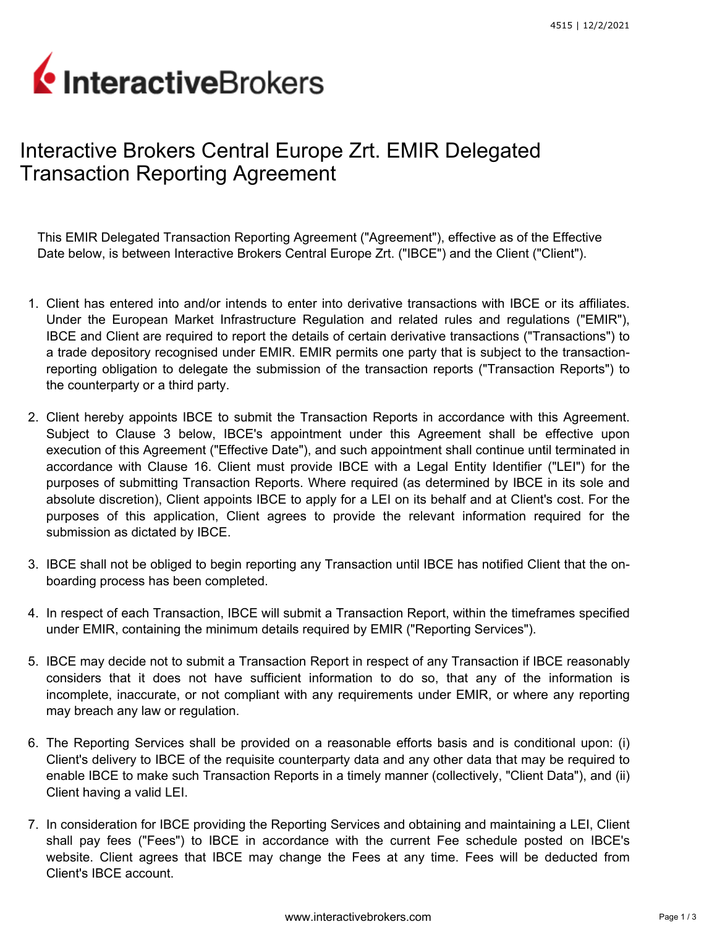## InteractiveBrokers

## Interactive Brokers Central Europe Zrt. EMIR Delegated Transaction Reporting Agreement

This EMIR Delegated Transaction Reporting Agreement ("Agreement"), effective as of the Effective Date below, is between Interactive Brokers Central Europe Zrt. ("IBCE") and the Client ("Client").

- 1. Client has entered into and/or intends to enter into derivative transactions with IBCE or its affiliates. Under the European Market Infrastructure Regulation and related rules and regulations ("EMIR"), IBCE and Client are required to report the details of certain derivative transactions ("Transactions") to a trade depository recognised under EMIR. EMIR permits one party that is subject to the transactionreporting obligation to delegate the submission of the transaction reports ("Transaction Reports") to the counterparty or a third party.
- 2. Client hereby appoints IBCE to submit the Transaction Reports in accordance with this Agreement. Subject to Clause 3 below, IBCE's appointment under this Agreement shall be effective upon execution of this Agreement ("Effective Date"), and such appointment shall continue until terminated in accordance with Clause 16. Client must provide IBCE with a Legal Entity Identifier ("LEI") for the purposes of submitting Transaction Reports. Where required (as determined by IBCE in its sole and absolute discretion), Client appoints IBCE to apply for a LEI on its behalf and at Client's cost. For the purposes of this application, Client agrees to provide the relevant information required for the submission as dictated by IBCE.
- 3. IBCE shall not be obliged to begin reporting any Transaction until IBCE has notified Client that the onboarding process has been completed.
- 4. In respect of each Transaction, IBCE will submit a Transaction Report, within the timeframes specified under EMIR, containing the minimum details required by EMIR ("Reporting Services").
- 5. IBCE may decide not to submit a Transaction Report in respect of any Transaction if IBCE reasonably considers that it does not have sufficient information to do so, that any of the information is incomplete, inaccurate, or not compliant with any requirements under EMIR, or where any reporting may breach any law or regulation.
- 6. The Reporting Services shall be provided on a reasonable efforts basis and is conditional upon: (i) Client's delivery to IBCE of the requisite counterparty data and any other data that may be required to enable IBCE to make such Transaction Reports in a timely manner (collectively, "Client Data"), and (ii) Client having a valid LEI.
- 7. In consideration for IBCE providing the Reporting Services and obtaining and maintaining a LEI, Client shall pay fees ("Fees") to IBCE in accordance with the current Fee schedule posted on IBCE's website. Client agrees that IBCE may change the Fees at any time. Fees will be deducted from Client's IBCE account.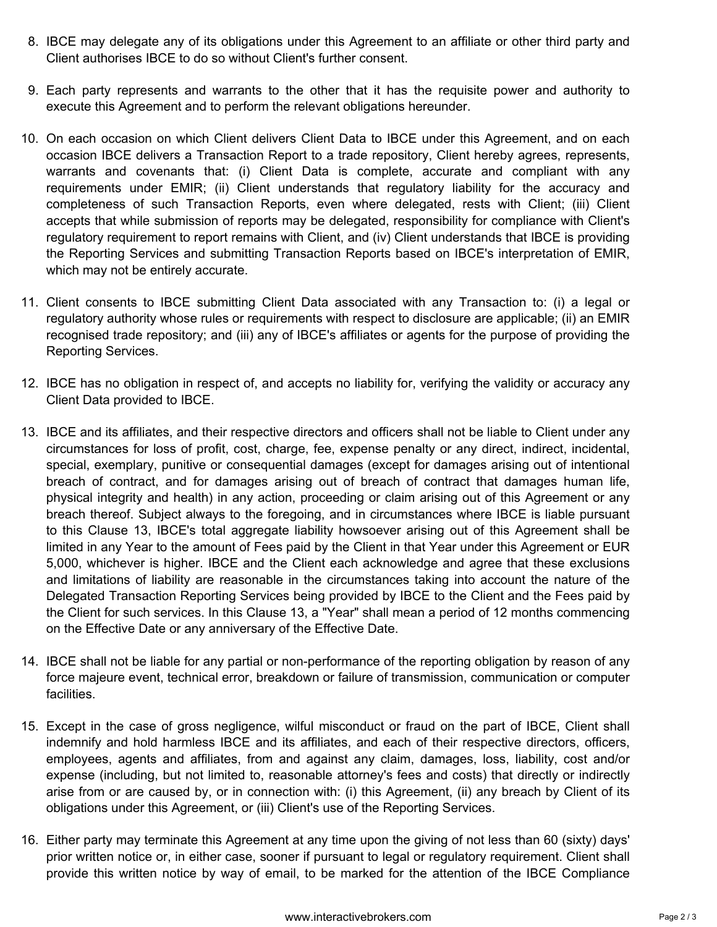- 8. IBCE may delegate any of its obligations under this Agreement to an affiliate or other third party and Client authorises IBCE to do so without Client's further consent.
- 9. Each party represents and warrants to the other that it has the requisite power and authority to execute this Agreement and to perform the relevant obligations hereunder.
- 10. On each occasion on which Client delivers Client Data to IBCE under this Agreement, and on each occasion IBCE delivers a Transaction Report to a trade repository, Client hereby agrees, represents, warrants and covenants that: (i) Client Data is complete, accurate and compliant with any requirements under EMIR; (ii) Client understands that regulatory liability for the accuracy and completeness of such Transaction Reports, even where delegated, rests with Client; (iii) Client accepts that while submission of reports may be delegated, responsibility for compliance with Client's regulatory requirement to report remains with Client, and (iv) Client understands that IBCE is providing the Reporting Services and submitting Transaction Reports based on IBCE's interpretation of EMIR, which may not be entirely accurate.
- 11. Client consents to IBCE submitting Client Data associated with any Transaction to: (i) a legal or regulatory authority whose rules or requirements with respect to disclosure are applicable; (ii) an EMIR recognised trade repository; and (iii) any of IBCE's affiliates or agents for the purpose of providing the Reporting Services.
- 12. IBCE has no obligation in respect of, and accepts no liability for, verifying the validity or accuracy any Client Data provided to IBCE.
- 13. IBCE and its affiliates, and their respective directors and officers shall not be liable to Client under any circumstances for loss of profit, cost, charge, fee, expense penalty or any direct, indirect, incidental, special, exemplary, punitive or consequential damages (except for damages arising out of intentional breach of contract, and for damages arising out of breach of contract that damages human life, physical integrity and health) in any action, proceeding or claim arising out of this Agreement or any breach thereof. Subject always to the foregoing, and in circumstances where IBCE is liable pursuant to this Clause 13, IBCE's total aggregate liability howsoever arising out of this Agreement shall be limited in any Year to the amount of Fees paid by the Client in that Year under this Agreement or EUR 5,000, whichever is higher. IBCE and the Client each acknowledge and agree that these exclusions and limitations of liability are reasonable in the circumstances taking into account the nature of the Delegated Transaction Reporting Services being provided by IBCE to the Client and the Fees paid by the Client for such services. In this Clause 13, a "Year" shall mean a period of 12 months commencing on the Effective Date or any anniversary of the Effective Date.
- 14. IBCE shall not be liable for any partial or non-performance of the reporting obligation by reason of any force majeure event, technical error, breakdown or failure of transmission, communication or computer facilities.
- 15. Except in the case of gross negligence, wilful misconduct or fraud on the part of IBCE, Client shall indemnify and hold harmless IBCE and its affiliates, and each of their respective directors, officers, employees, agents and affiliates, from and against any claim, damages, loss, liability, cost and/or expense (including, but not limited to, reasonable attorney's fees and costs) that directly or indirectly arise from or are caused by, or in connection with: (i) this Agreement, (ii) any breach by Client of its obligations under this Agreement, or (iii) Client's use of the Reporting Services.
- 16. Either party may terminate this Agreement at any time upon the giving of not less than 60 (sixty) days' prior written notice or, in either case, sooner if pursuant to legal or regulatory requirement. Client shall provide this written notice by way of email, to be marked for the attention of the IBCE Compliance